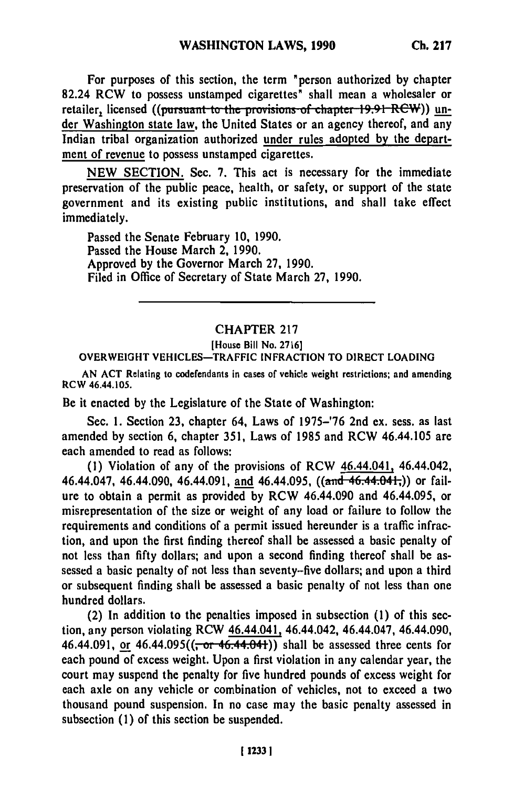For purposes of this section, the term "person authorized **by** chapter 82.24 RCW to possess unstamped cigarettes" shall mean a wholesaler or retailer, licensed ((pursuant to the provisions of chapter 19.91 RCW)) under Washington state law, the United States or an agency thereof, and any Indian tribal organization authorized under rules adopted **by** the department of revenue to possess unstamped cigarettes.

**NEW SECTION.** Sec. **7.** This act is necessary for the immediate preservation of the public peace, health, or safety, or support of the state government and its existing public institutions, and shall take effect immediately.

Passed the Senate February **10, 1990.** Passed the House March 2, **1990.** Approved **by** the Governor March **27, 1990.** Filed in Office of Secretary of State March **27, 1990.**

## CHAPTER **217**

## [House Bill **No. 2716]** OVERWEIGHT VEHICLES-TRAFFIC **INFRACTION** TO DIRECT **LOADING**

**AN ACT** Relating to codefendants in cases of vehicle weight restrictions; and amending RCW 46.44.105.

Be it enacted **by** the Legislature of the State of Washington:

Sec. **1.** Section **23,** chapter 64, Laws of **1975-'76** 2nd ex. sess. as last amended **by** section 6, chapter **351,** Laws of **1985** and RCW 46.44.105 are each amended to read as follows:

**(1)** Violation of any of the provisions of RCW 46.44.041, 46.44.042, 46.44.047, 46.44.090, 46.44.091, and 46.44.095, **((and 46.44.041,))** or failure to obtain a permit as provided **by** RCW 46.44.090 and 46.44.095, or misrepresentation of the size or weight of any load or failure to follow the requirements and conditions of a permit issued hereunder is a traffic infraction, and upon the first finding thereof shall be assessed a basic penalty of not less than **fifty** dollars; and upon a second finding thereof shall be assessed a basic penalty of not less than seventy-five dollars; and upon a third or subsequent finding shall be assessed a basic penalty of not less than one hundred dollars.

(2) In addition to the penalties imposed in subsection **(1)** of this section, any person violating RCW 46.44.041, 46.44.042, 46.44.047, 46.44.090, 46.44.091, or 46.44.095((<del>, or 46.44.041</del>)) shall be assessed three cents for each pound of excess weight. Upon a first violation in any calendar year, the court may suspend the penalty for five hundred pounds of excess weight for each axle on any vehicle or combination of vehicles, not to exceed a two thousand pound suspension. In no case may the basic penalty assessed in subsection **(1)** of this section be suspended.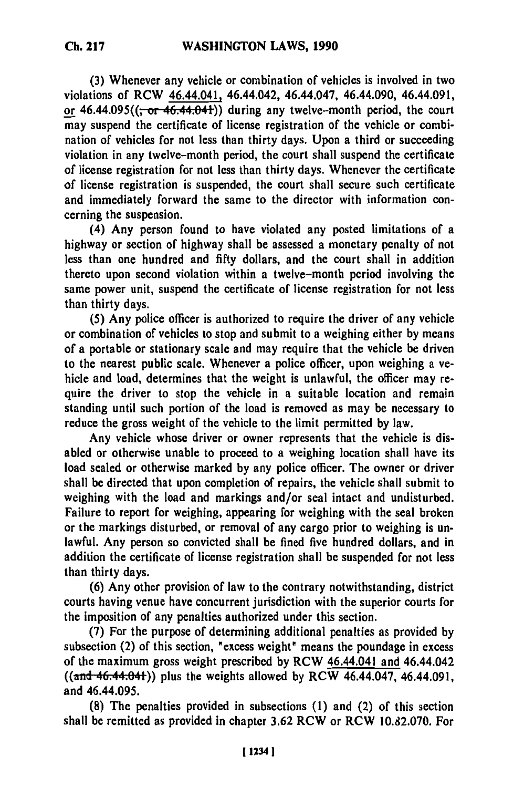**(3)** Whenever any vehicle or combination of vehicles is involved in two violations of RCW **46.44.041,** 46.44.042, 46.44.047, 46.44.090, 46.44.091, or  $46.44.095((\frac{1}{6} \text{ or } 46.44.041))$  during any twelve-month period, the court may suspend the certificate of license registration of the vehicle or combination of vehicles for not less than thirty days. Upon a third or succeeding violation in any twelve-month period, the court shall suspend the certificate of license registration for not less than thirty days. Whenever the certificate of license registration is suspended, the court shall secure such certificate and immediately forward the same to the director with information concerning the suspension.

(4) Any person found to have violated any posted limitations of a highway or section of highway shall be assessed a monetary penalty of not less than one hundred and **fifty** dollars, and the court shall in addition thereto upon second violation within a twelve-month period involving the same power unit, suspend the certificate of license registration for not less than thirty days.

**(5)** Any police officer is authorized to require the driver of any vehicle or combination of vehicles to stop and submit to a weighing either **by** means of a portable or stationary scale and may require that the vehicle be driven to the nearest public scale. Whenever a police officer, upon weighing a vehicle and load, determines that the weight is unlawful, the officer may require the driver to stop the vehicle in a suitable location and remain standing until such portion of the load is removed as may be necessary to reduce the gross weight of the vehicle to the limit permitted **by** law.

Any vehicle whose driver or owner represents that the vehicle is disabled or otherwise unable to proceed to a weighing location shall have its load sealed or otherwise marked **by** any police officer. The owner or driver shall be directed that upon completion of repairs, the vehicle shall submit to weighing with the load and markings and/or seal intact and undisturbed. Failure to report for weighing, appearing for weighing with the seal broken or the markings disturbed, or removal of any cargo prior to weighing is unlawful. Any person so convicted shall be fined five hundred dollars, and in addition the certificate of license registration shall be suspended for not less than thirty days.

**(6)** Any other provision of law to the contrary notwithstanding, district courts having venue have concurrent jurisdiction with the superior courts for the imposition of any penalties authorized under this section.

**(7)** For the purpose of determining additional penalties as provided **by** subsection (2) of this section, "excess weight" means the poundage in excess of the maximum gross weight prescribed **by** RCW 46.44.041 and 46.44.042 ((and 46.44.04)) plus the weights allowed **by** RCW 46.44.047, 46.44.091, and 46.44.095.

**(8)** The penalties provided in subsections **(1)** and (2) of this section shall be remitted as provided in chapter **3.62** RCW or RCW **10.82.070.** For